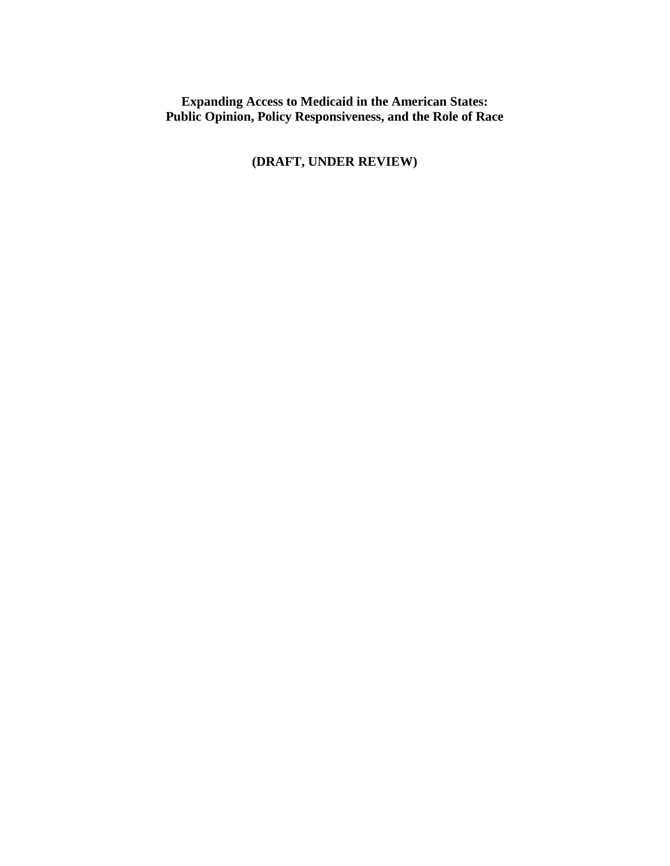**Expanding Access to Medicaid in the American States: Public Opinion, Policy Responsiveness, and the Role of Race**

**(DRAFT, UNDER REVIEW)**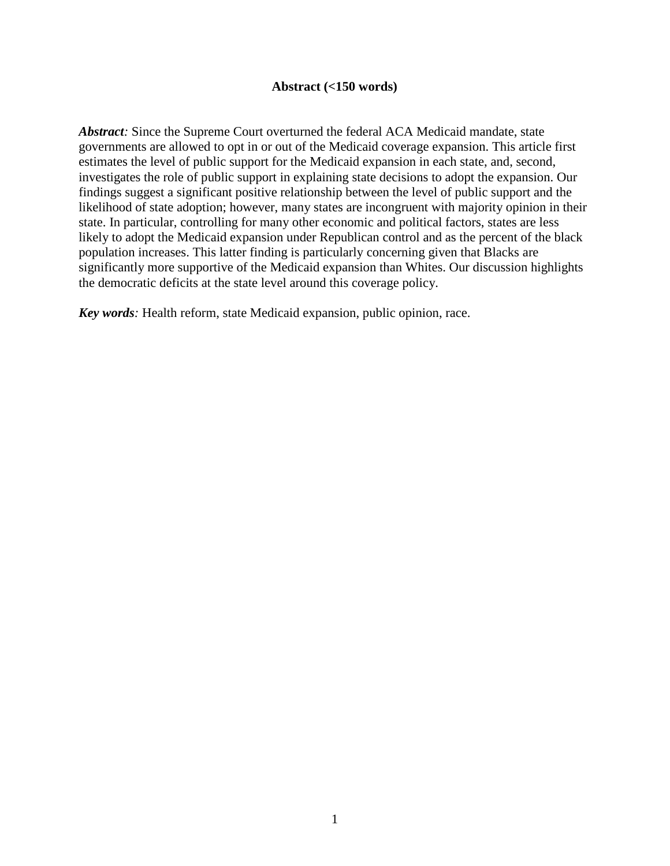# **Abstract (<150 words)**

Abstract: Since the Supreme Court overturned the federal ACA Medicaid mandate, state governments are allowed to opt in or out of the Medicaid coverage expansion. This article first estimates the level of public support for the Medicaid expansion in each state, and, second, investigates the role of public support in explaining state decisions to adopt the expansion. Our findings suggest a significant positive relationship between the level of public support and the likelihood of state adoption; however, many states are incongruent with majority opinion in their state. In particular, controlling for many other economic and political factors, states are less likely to adopt the Medicaid expansion under Republican control and as the percent of the black population increases. This latter finding is particularly concerning given that Blacks are significantly more supportive of the Medicaid expansion than Whites. Our discussion highlights the democratic deficits at the state level around this coverage policy.

*Key words*: Health reform, state Medicaid expansion, public opinion, race.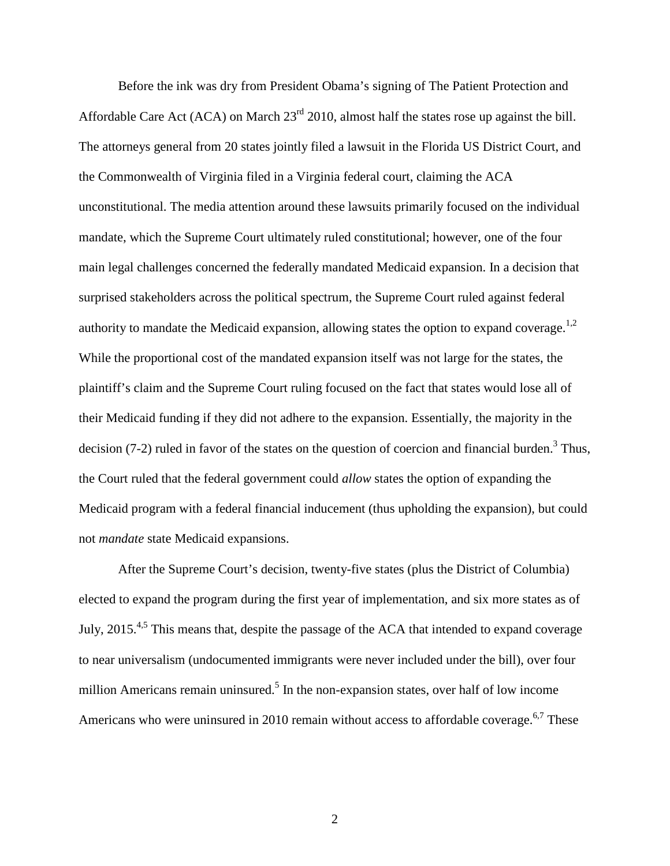Before the ink was dry from President Obama's signing of The Patient Protection and Affordable Care Act (ACA) on March 23<sup>rd</sup> 2010, almost half the states rose up against the bill. The attorneys general from 20 states jointly filed a lawsuit in the Florida US District Court, and the Commonwealth of Virginia filed in a Virginia federal court, claiming the ACA unconstitutional. The media attention around these lawsuits primarily focused on the individual mandate, which the Supreme Court ultimately ruled constitutional; however, one of the four main legal challenges concerned the federally mandated Medicaid expansion. In a decision that surprised stakeholders across the political spectrum, the Supreme Court ruled against federal authority to mandate the Medicaid expansion, allowing states the option to expand coverage.<sup>1,2</sup> While the proportional cost of the mandated expansion itself was not large for the states, the plaintiff's claim and the Supreme Court ruling focused on the fact that states would lose all of their Medicaid funding if they did not adhere to the expansion. Essentially, the majority in the decision  $(7-2)$  ruled in favor of the states on the question of coercion and financial burden.<sup>3</sup> Thus, the Court ruled that the federal government could *allow* states the option of expanding the Medicaid program with a federal financial inducement (thus upholding the expansion), but could not *mandate* state Medicaid expansions.

After the Supreme Court's decision, twenty-five states (plus the District of Columbia) elected to expand the program during the first year of implementation, and six more states as of July, 2015.4,5 This means that, despite the passage of the ACA that intended to expand coverage to near universalism (undocumented immigrants were never included under the bill), over four million Americans remain uninsured.<sup>5</sup> In the non-expansion states, over half of low income Americans who were uninsured in 2010 remain without access to affordable coverage.<sup>6,7</sup> These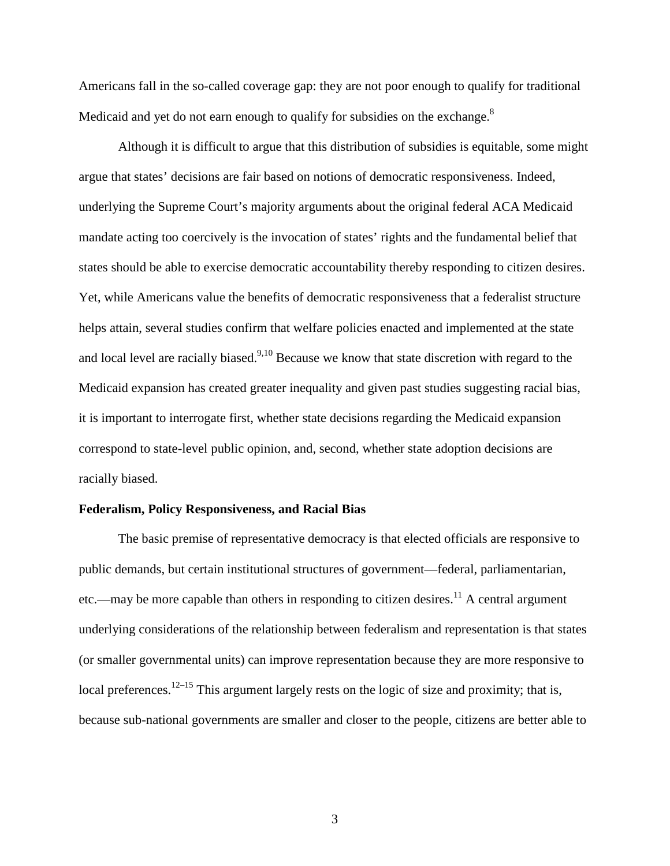Americans fall in the so-called coverage gap: they are not poor enough to qualify for traditional Medicaid and yet do not earn enough to qualify for subsidies on the exchange.<sup>8</sup>

Although it is difficult to argue that this distribution of subsidies is equitable, some might argue that states' decisions are fair based on notions of democratic responsiveness. Indeed, underlying the Supreme Court's majority arguments about the original federal ACA Medicaid mandate acting too coercively is the invocation of states' rights and the fundamental belief that states should be able to exercise democratic accountability thereby responding to citizen desires. Yet, while Americans value the benefits of democratic responsiveness that a federalist structure helps attain, several studies confirm that welfare policies enacted and implemented at the state and local level are racially biased.<sup>9,10</sup> Because we know that state discretion with regard to the Medicaid expansion has created greater inequality and given past studies suggesting racial bias, it is important to interrogate first, whether state decisions regarding the Medicaid expansion correspond to state-level public opinion, and, second, whether state adoption decisions are racially biased.

#### **Federalism, Policy Responsiveness, and Racial Bias**

The basic premise of representative democracy is that elected officials are responsive to public demands, but certain institutional structures of government—federal, parliamentarian, etc.—may be more capable than others in responding to citizen desires.<sup>11</sup> A central argument underlying considerations of the relationship between federalism and representation is that states (or smaller governmental units) can improve representation because they are more responsive to local preferences.<sup>12–15</sup> This argument largely rests on the logic of size and proximity; that is, because sub-national governments are smaller and closer to the people, citizens are better able to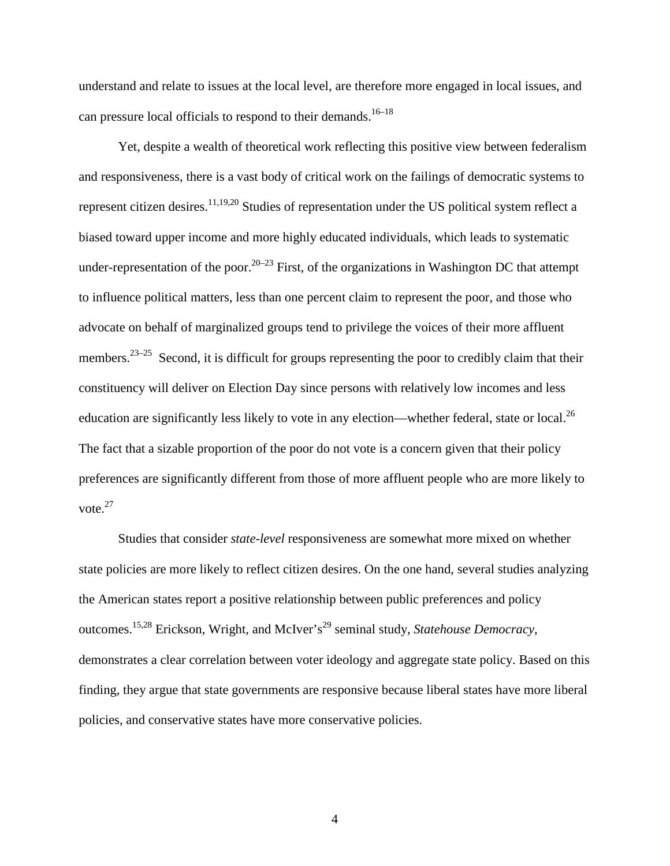understand and relate to issues at the local level, are therefore more engaged in local issues, and can pressure local officials to respond to their demands.<sup>16-18</sup>

Yet, despite a wealth of theoretical work reflecting this positive view between federalism and responsiveness, there is a vast body of critical work on the failings of democratic systems to represent citizen desires.<sup>11,19,20</sup> Studies of representation under the US political system reflect a biased toward upper income and more highly educated individuals, which leads to systematic under-representation of the poor.<sup>20–23</sup> First, of the organizations in Washington DC that attempt to influence political matters, less than one percent claim to represent the poor, and those who advocate on behalf of marginalized groups tend to privilege the voices of their more affluent members.<sup>23–25</sup> Second, it is difficult for groups representing the poor to credibly claim that their constituency will deliver on Election Day since persons with relatively low incomes and less education are significantly less likely to vote in any election—whether federal, state or local.<sup>26</sup> The fact that a sizable proportion of the poor do not vote is a concern given that their policy preferences are significantly different from those of more affluent people who are more likely to vote. 27

Studies that consider *state-level* responsiveness are somewhat more mixed on whether state policies are more likely to reflect citizen desires. On the one hand, several studies analyzing the American states report a positive relationship between public preferences and policy outcomes.<sup>15,28</sup> Erickson, Wright, and McIver's<sup>29</sup> seminal study, *Statehouse Democracy*, demonstrates a clear correlation between voter ideology and aggregate state policy. Based on this finding, they argue that state governments are responsive because liberal states have more liberal policies, and conservative states have more conservative policies.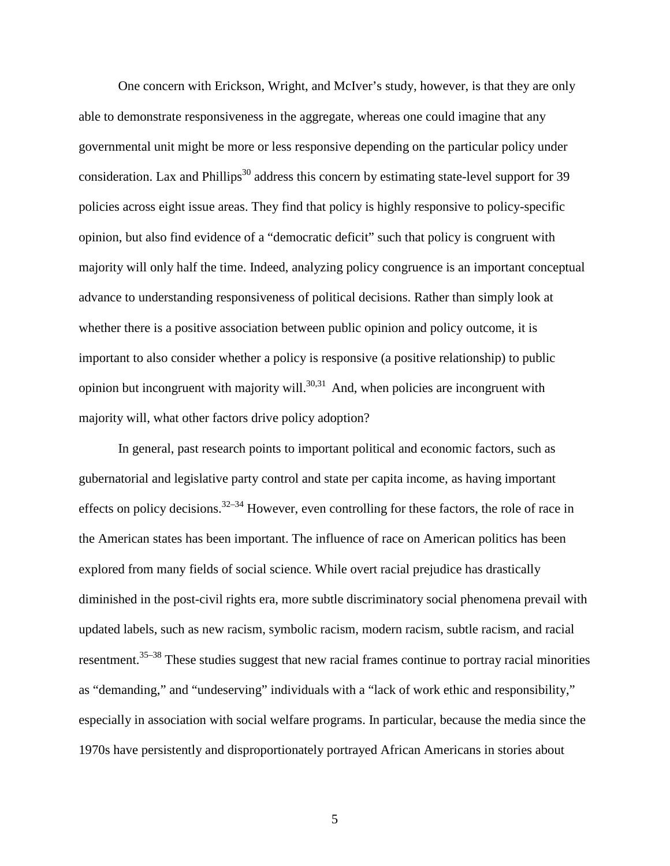One concern with Erickson, Wright, and McIver's study, however, is that they are only able to demonstrate responsiveness in the aggregate, whereas one could imagine that any governmental unit might be more or less responsive depending on the particular policy under consideration. Lax and Phillips<sup>30</sup> address this concern by estimating state-level support for 39 policies across eight issue areas. They find that policy is highly responsive to policy-specific opinion, but also find evidence of a "democratic deficit" such that policy is congruent with majority will only half the time. Indeed, analyzing policy congruence is an important conceptual advance to understanding responsiveness of political decisions. Rather than simply look at whether there is a positive association between public opinion and policy outcome, it is important to also consider whether a policy is responsive (a positive relationship) to public opinion but incongruent with majority will.<sup>30,31</sup> And, when policies are incongruent with majority will, what other factors drive policy adoption?

In general, past research points to important political and economic factors, such as gubernatorial and legislative party control and state per capita income, as having important effects on policy decisions.<sup>32–34</sup> However, even controlling for these factors, the role of race in the American states has been important. The influence of race on American politics has been explored from many fields of social science. While overt racial prejudice has drastically diminished in the post-civil rights era, more subtle discriminatory social phenomena prevail with updated labels, such as new racism, symbolic racism, modern racism, subtle racism, and racial resentment.<sup>35–38</sup> These studies suggest that new racial frames continue to portray racial minorities as "demanding," and "undeserving" individuals with a "lack of work ethic and responsibility," especially in association with social welfare programs. In particular, because the media since the 1970s have persistently and disproportionately portrayed African Americans in stories about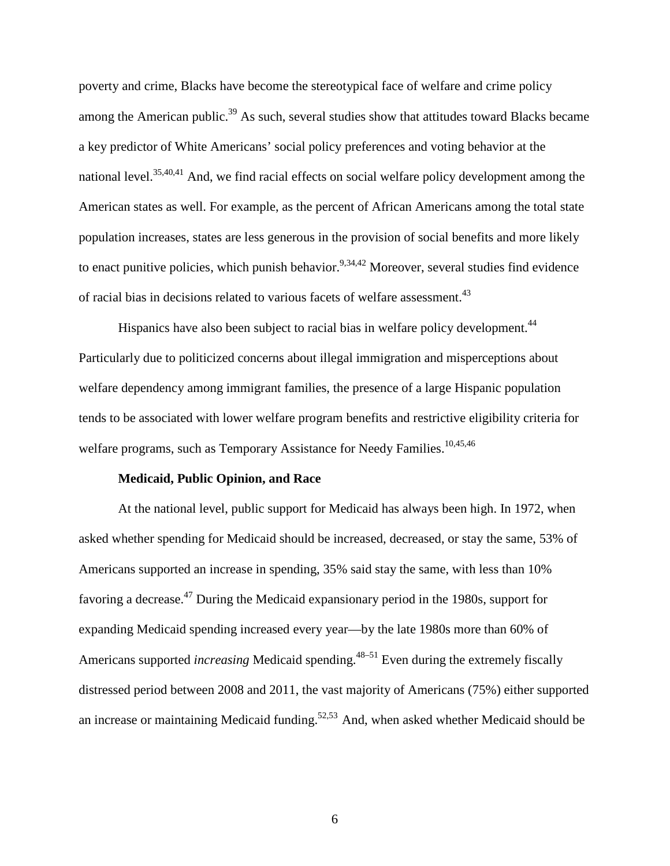poverty and crime, Blacks have become the stereotypical face of welfare and crime policy among the American public.<sup>39</sup> As such, several studies show that attitudes toward Blacks became a key predictor of White Americans' social policy preferences and voting behavior at the national level.<sup>35,40,41</sup> And, we find racial effects on social welfare policy development among the American states as well. For example, as the percent of African Americans among the total state population increases, states are less generous in the provision of social benefits and more likely to enact punitive policies, which punish behavior.<sup>9,34,42</sup> Moreover, several studies find evidence of racial bias in decisions related to various facets of welfare assessment.<sup>43</sup>

Hispanics have also been subject to racial bias in welfare policy development.<sup>44</sup> Particularly due to politicized concerns about illegal immigration and misperceptions about welfare dependency among immigrant families, the presence of a large Hispanic population tends to be associated with lower welfare program benefits and restrictive eligibility criteria for welfare programs, such as Temporary Assistance for Needy Families.<sup>10,45,46</sup>

## **Medicaid, Public Opinion, and Race**

At the national level, public support for Medicaid has always been high. In 1972, when asked whether spending for Medicaid should be increased, decreased, or stay the same, 53% of Americans supported an increase in spending, 35% said stay the same, with less than 10% favoring a decrease.<sup>47</sup> During the Medicaid expansionary period in the 1980s, support for expanding Medicaid spending increased every year—by the late 1980s more than 60% of Americans supported *increasing* Medicaid spending.48–51 Even during the extremely fiscally distressed period between 2008 and 2011, the vast majority of Americans (75%) either supported an increase or maintaining Medicaid funding.<sup>52,53</sup> And, when asked whether Medicaid should be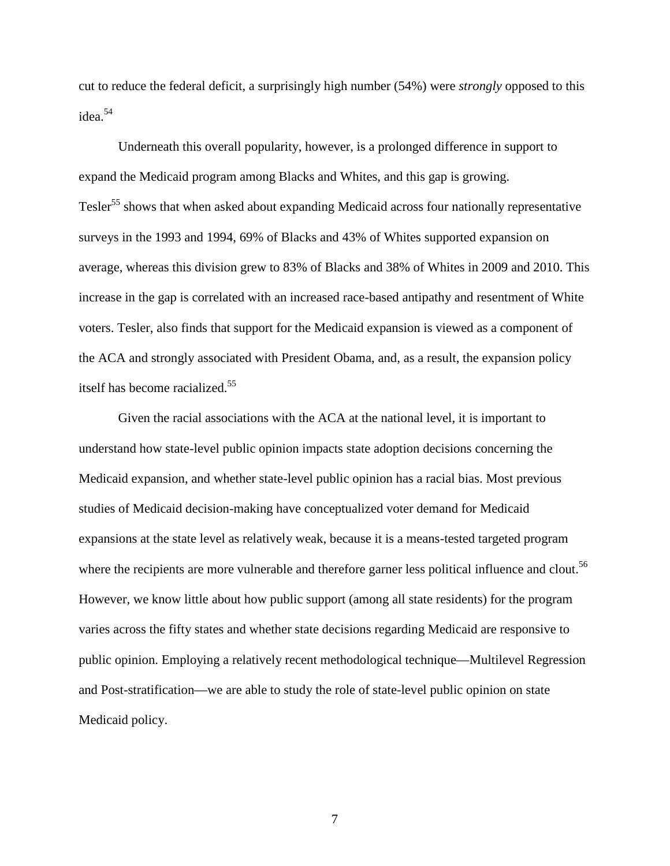cut to reduce the federal deficit, a surprisingly high number (54%) were *strongly* opposed to this idea. 54

Underneath this overall popularity, however, is a prolonged difference in support to expand the Medicaid program among Blacks and Whites, and this gap is growing. Tesler<sup>55</sup> shows that when asked about expanding Medicaid across four nationally representative surveys in the 1993 and 1994, 69% of Blacks and 43% of Whites supported expansion on average, whereas this division grew to 83% of Blacks and 38% of Whites in 2009 and 2010. This increase in the gap is correlated with an increased race-based antipathy and resentment of White voters. Tesler, also finds that support for the Medicaid expansion is viewed as a component of the ACA and strongly associated with President Obama, and, as a result, the expansion policy itself has become racialized. 55

Given the racial associations with the ACA at the national level, it is important to understand how state-level public opinion impacts state adoption decisions concerning the Medicaid expansion, and whether state-level public opinion has a racial bias. Most previous studies of Medicaid decision-making have conceptualized voter demand for Medicaid expansions at the state level as relatively weak, because it is a means-tested targeted program where the recipients are more vulnerable and therefore garner less political influence and clout.<sup>56</sup> However, we know little about how public support (among all state residents) for the program varies across the fifty states and whether state decisions regarding Medicaid are responsive to public opinion. Employing a relatively recent methodological technique—Multilevel Regression and Post-stratification—we are able to study the role of state-level public opinion on state Medicaid policy.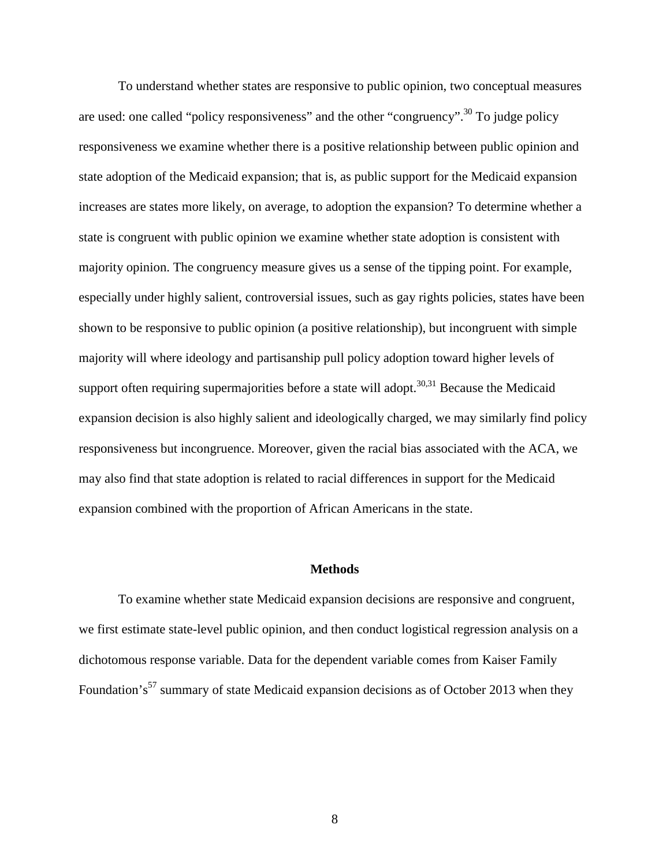To understand whether states are responsive to public opinion, two conceptual measures are used: one called "policy responsiveness" and the other "congruency".<sup>30</sup> To judge policy responsiveness we examine whether there is a positive relationship between public opinion and state adoption of the Medicaid expansion; that is, as public support for the Medicaid expansion increases are states more likely, on average, to adoption the expansion? To determine whether a state is congruent with public opinion we examine whether state adoption is consistent with majority opinion. The congruency measure gives us a sense of the tipping point. For example, especially under highly salient, controversial issues, such as gay rights policies, states have been shown to be responsive to public opinion (a positive relationship), but incongruent with simple majority will where ideology and partisanship pull policy adoption toward higher levels of support often requiring supermajorities before a state will adopt.<sup>30,31</sup> Because the Medicaid expansion decision is also highly salient and ideologically charged, we may similarly find policy responsiveness but incongruence. Moreover, given the racial bias associated with the ACA, we may also find that state adoption is related to racial differences in support for the Medicaid expansion combined with the proportion of African Americans in the state.

## **Methods**

To examine whether state Medicaid expansion decisions are responsive and congruent, we first estimate state-level public opinion, and then conduct logistical regression analysis on a dichotomous response variable. Data for the dependent variable comes from Kaiser Family Foundation's<sup>57</sup> summary of state Medicaid expansion decisions as of October 2013 when they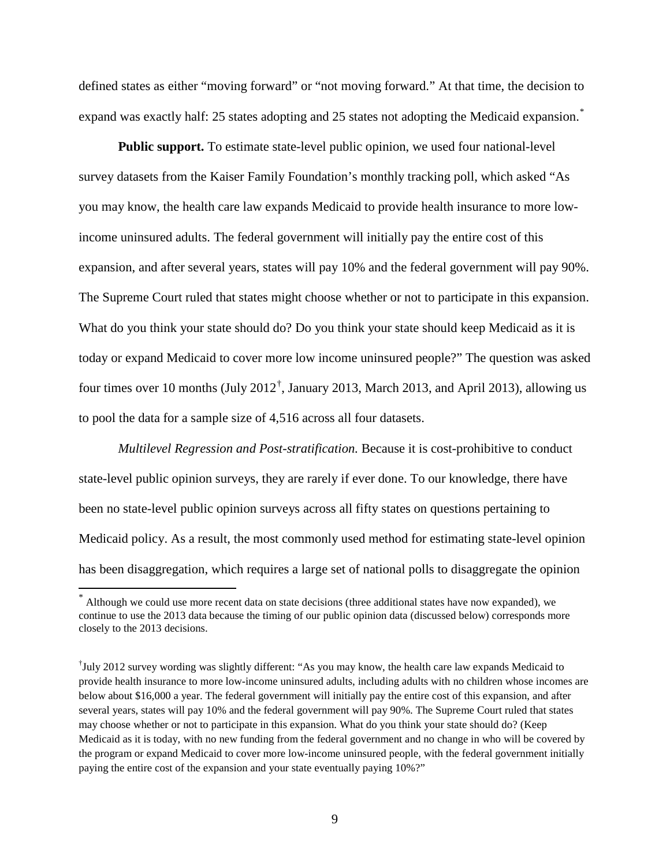defined states as either "moving forward" or "not moving forward." At that time, the decision to expand was exactly half: 25 states adopting and 25 states not adopting the Medicaid expansion.<sup>[\\*](#page-9-0)</sup>

**Public support.** To estimate state-level public opinion, we used four national-level survey datasets from the Kaiser Family Foundation's monthly tracking poll, which asked "As you may know, the health care law expands Medicaid to provide health insurance to more lowincome uninsured adults. The federal government will initially pay the entire cost of this expansion, and after several years, states will pay 10% and the federal government will pay 90%. The Supreme Court ruled that states might choose whether or not to participate in this expansion. What do you think your state should do? Do you think your state should keep Medicaid as it is today or expand Medicaid to cover more low income uninsured people?" The question was asked four times over 10 months (July 2012<sup>[†](#page-9-1)</sup>, January 2013, March 2013, and April 2013), allowing us to pool the data for a sample size of 4,516 across all four datasets.

*Multilevel Regression and Post-stratification.* Because it is cost-prohibitive to conduct state-level public opinion surveys, they are rarely if ever done. To our knowledge, there have been no state-level public opinion surveys across all fifty states on questions pertaining to Medicaid policy. As a result, the most commonly used method for estimating state-level opinion has been disaggregation, which requires a large set of national polls to disaggregate the opinion

<span id="page-9-0"></span>Although we could use more recent data on state decisions (three additional states have now expanded), we continue to use the 2013 data because the timing of our public opinion data (discussed below) corresponds more closely to the 2013 decisions.

<span id="page-9-1"></span><sup>†</sup> July 2012 survey wording was slightly different: "As you may know, the health care law expands Medicaid to provide health insurance to more low-income uninsured adults, including adults with no children whose incomes are below about \$16,000 a year. The federal government will initially pay the entire cost of this expansion, and after several years, states will pay 10% and the federal government will pay 90%. The Supreme Court ruled that states may choose whether or not to participate in this expansion. What do you think your state should do? (Keep Medicaid as it is today, with no new funding from the federal government and no change in who will be covered by the program or expand Medicaid to cover more low-income uninsured people, with the federal government initially paying the entire cost of the expansion and your state eventually paying 10%?"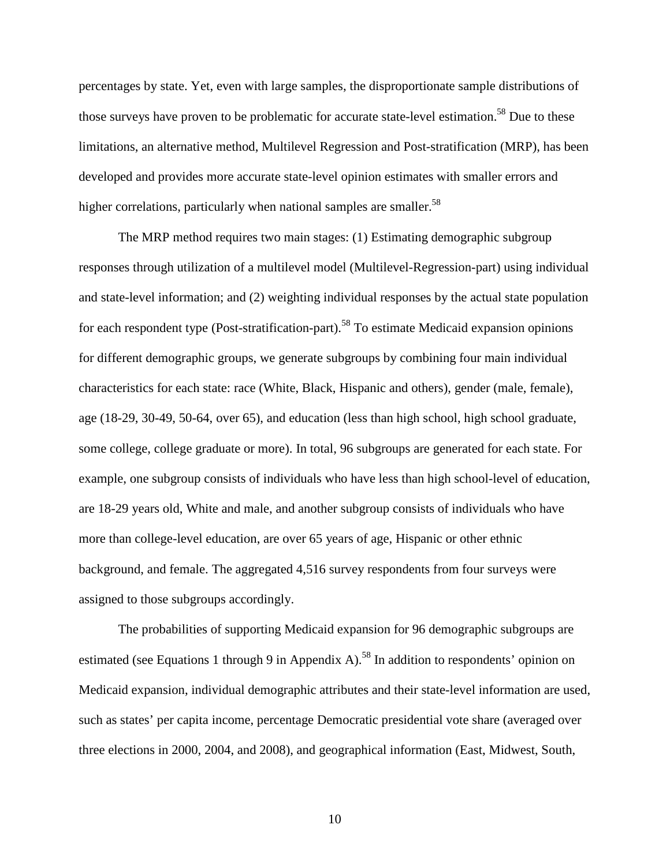percentages by state. Yet, even with large samples, the disproportionate sample distributions of those surveys have proven to be problematic for accurate state-level estimation.<sup>58</sup> Due to these limitations, an alternative method, Multilevel Regression and Post-stratification (MRP), has been developed and provides more accurate state-level opinion estimates with smaller errors and higher correlations, particularly when national samples are smaller.<sup>58</sup>

The MRP method requires two main stages: (1) Estimating demographic subgroup responses through utilization of a multilevel model (Multilevel-Regression-part) using individual and state-level information; and (2) weighting individual responses by the actual state population for each respondent type (Post-stratification-part).<sup>58</sup> To estimate Medicaid expansion opinions for different demographic groups, we generate subgroups by combining four main individual characteristics for each state: race (White, Black, Hispanic and others), gender (male, female), age (18-29, 30-49, 50-64, over 65), and education (less than high school, high school graduate, some college, college graduate or more). In total, 96 subgroups are generated for each state. For example, one subgroup consists of individuals who have less than high school-level of education, are 18-29 years old, White and male, and another subgroup consists of individuals who have more than college-level education, are over 65 years of age, Hispanic or other ethnic background, and female. The aggregated 4,516 survey respondents from four surveys were assigned to those subgroups accordingly.

The probabilities of supporting Medicaid expansion for 96 demographic subgroups are estimated (see Equations 1 through 9 in Appendix A).<sup>58</sup> In addition to respondents' opinion on Medicaid expansion, individual demographic attributes and their state-level information are used, such as states' per capita income, percentage Democratic presidential vote share (averaged over three elections in 2000, 2004, and 2008), and geographical information (East, Midwest, South,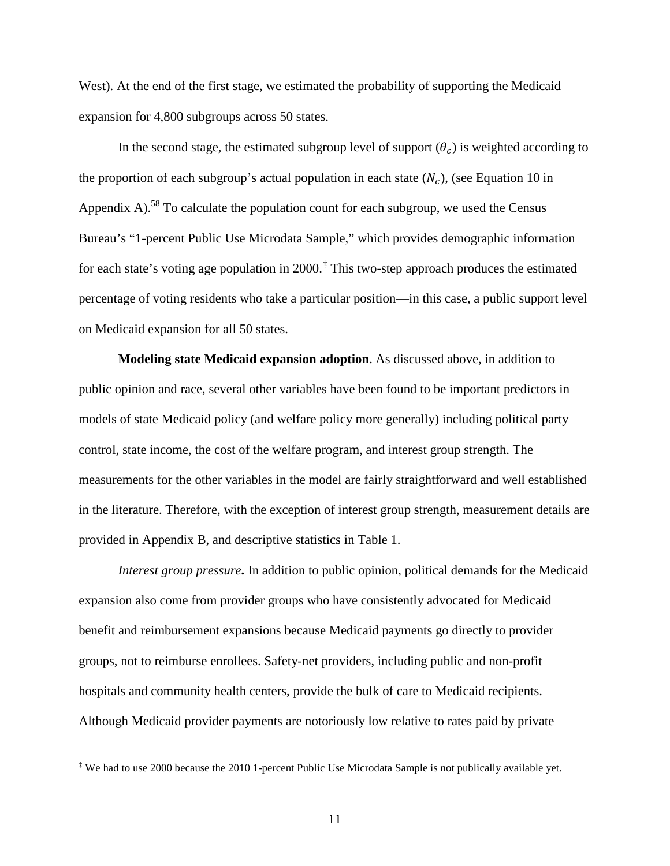West). At the end of the first stage, we estimated the probability of supporting the Medicaid expansion for 4,800 subgroups across 50 states.

In the second stage, the estimated subgroup level of support  $(\theta_c)$  is weighted according to the proportion of each subgroup's actual population in each state  $(N_c)$ , (see Equation 10 in Appendix A).<sup>58</sup> To calculate the population count for each subgroup, we used the Census Bureau's "1-percent Public Use Microdata Sample," which provides demographic information for each state's voting age population in 2000. [‡](#page-11-0) This two-step approach produces the estimated percentage of voting residents who take a particular position—in this case, a public support level on Medicaid expansion for all 50 states.

**Modeling state Medicaid expansion adoption**. As discussed above, in addition to public opinion and race, several other variables have been found to be important predictors in models of state Medicaid policy (and welfare policy more generally) including political party control, state income, the cost of the welfare program, and interest group strength. The measurements for the other variables in the model are fairly straightforward and well established in the literature. Therefore, with the exception of interest group strength, measurement details are provided in Appendix B, and descriptive statistics in Table 1.

*Interest group pressure***.** In addition to public opinion, political demands for the Medicaid expansion also come from provider groups who have consistently advocated for Medicaid benefit and reimbursement expansions because Medicaid payments go directly to provider groups, not to reimburse enrollees. Safety-net providers, including public and non-profit hospitals and community health centers, provide the bulk of care to Medicaid recipients. Although Medicaid provider payments are notoriously low relative to rates paid by private

<span id="page-11-0"></span>‡ We had to use 2000 because the 2010 1-percent Public Use Microdata Sample is not publically available yet.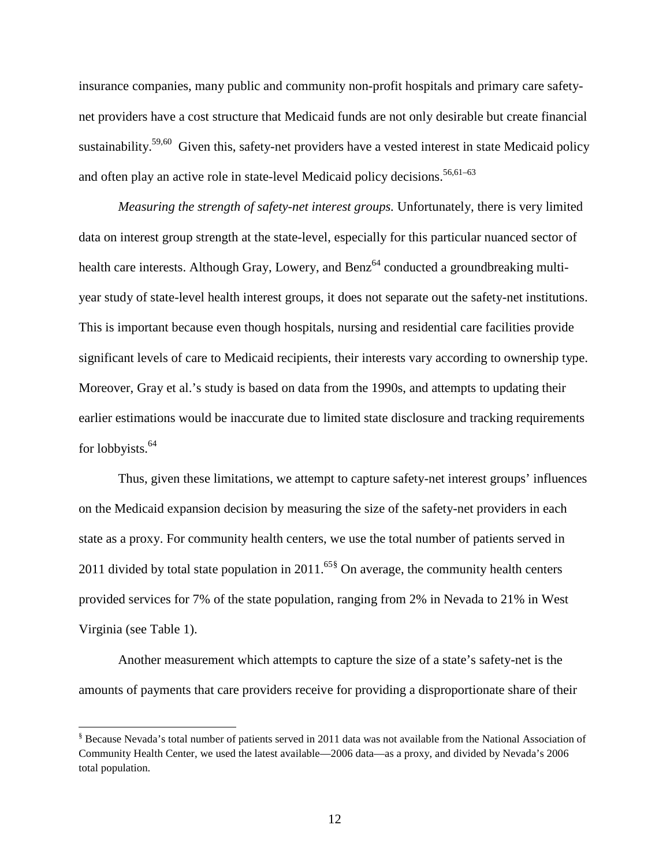insurance companies, many public and community non-profit hospitals and primary care safetynet providers have a cost structure that Medicaid funds are not only desirable but create financial sustainability.<sup>59,60</sup> Given this, safety-net providers have a vested interest in state Medicaid policy and often play an active role in state-level Medicaid policy decisions.<sup>56,61–63</sup>

*Measuring the strength of safety-net interest groups.* Unfortunately, there is very limited data on interest group strength at the state-level, especially for this particular nuanced sector of health care interests. Although Gray, Lowery, and  $\text{Benz}^{64}$  conducted a groundbreaking multiyear study of state-level health interest groups, it does not separate out the safety-net institutions. This is important because even though hospitals, nursing and residential care facilities provide significant levels of care to Medicaid recipients, their interests vary according to ownership type. Moreover, Gray et al.'s study is based on data from the 1990s, and attempts to updating their earlier estimations would be inaccurate due to limited state disclosure and tracking requirements for lobbyists.<sup>64</sup>

Thus, given these limitations, we attempt to capture safety-net interest groups' influences on the Medicaid expansion decision by measuring the size of the safety-net providers in each state as a proxy. For community health centers, we use the total number of patients served in 2011 divided by total state population in  $2011$ .<sup>65[§](#page-12-0)</sup> On average, the community health centers provided services for 7% of the state population, ranging from 2% in Nevada to 21% in West Virginia (see Table 1).

Another measurement which attempts to capture the size of a state's safety-net is the amounts of payments that care providers receive for providing a disproportionate share of their

<span id="page-12-0"></span>§ Because Nevada's total number of patients served in 2011 data was not available from the National Association of Community Health Center, we used the latest available—2006 data—as a proxy, and divided by Nevada's 2006 total population.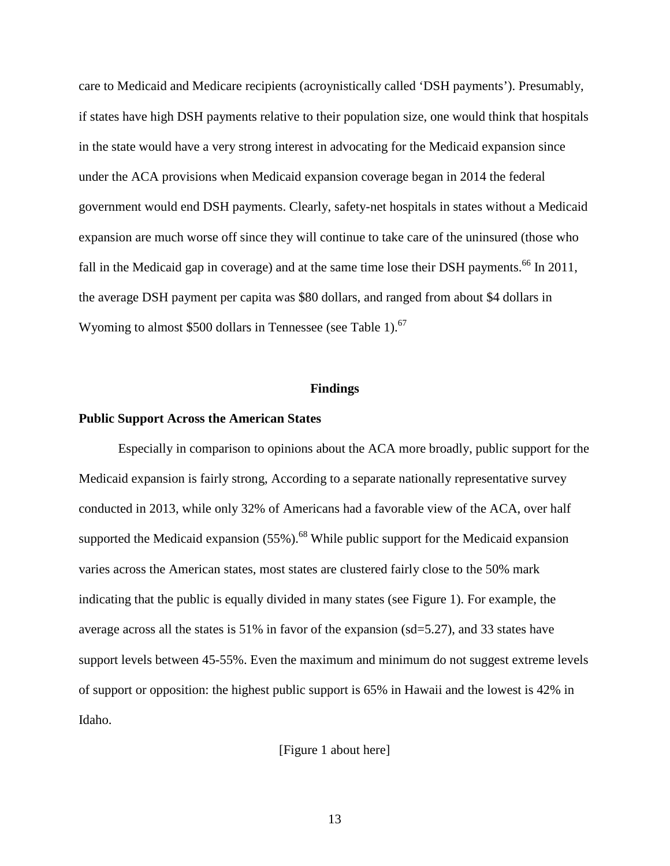care to Medicaid and Medicare recipients (acroynistically called 'DSH payments'). Presumably, if states have high DSH payments relative to their population size, one would think that hospitals in the state would have a very strong interest in advocating for the Medicaid expansion since under the ACA provisions when Medicaid expansion coverage began in 2014 the federal government would end DSH payments. Clearly, safety-net hospitals in states without a Medicaid expansion are much worse off since they will continue to take care of the uninsured (those who fall in the Medicaid gap in coverage) and at the same time lose their DSH payments.<sup>66</sup> In 2011, the average DSH payment per capita was \$80 dollars, and ranged from about \$4 dollars in Wyoming to almost \$500 dollars in Tennessee (see Table 1).<sup>67</sup>

### **Findings**

#### **Public Support Across the American States**

Especially in comparison to opinions about the ACA more broadly, public support for the Medicaid expansion is fairly strong, According to a separate nationally representative survey conducted in 2013, while only 32% of Americans had a favorable view of the ACA, over half supported the Medicaid expansion  $(55\%)$ .<sup>68</sup> While public support for the Medicaid expansion varies across the American states, most states are clustered fairly close to the 50% mark indicating that the public is equally divided in many states (see Figure 1). For example, the average across all the states is 51% in favor of the expansion (sd=5.27), and 33 states have support levels between 45-55%. Even the maximum and minimum do not suggest extreme levels of support or opposition: the highest public support is 65% in Hawaii and the lowest is 42% in Idaho.

[Figure 1 about here]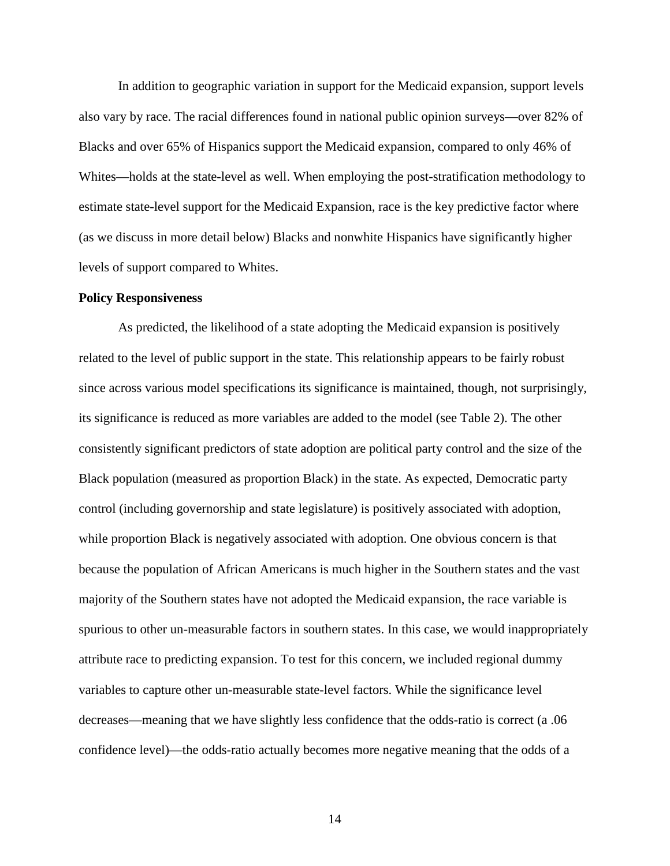In addition to geographic variation in support for the Medicaid expansion, support levels also vary by race. The racial differences found in national public opinion surveys—over 82% of Blacks and over 65% of Hispanics support the Medicaid expansion, compared to only 46% of Whites—holds at the state-level as well. When employing the post-stratification methodology to estimate state-level support for the Medicaid Expansion, race is the key predictive factor where (as we discuss in more detail below) Blacks and nonwhite Hispanics have significantly higher levels of support compared to Whites.

## **Policy Responsiveness**

As predicted, the likelihood of a state adopting the Medicaid expansion is positively related to the level of public support in the state. This relationship appears to be fairly robust since across various model specifications its significance is maintained, though, not surprisingly, its significance is reduced as more variables are added to the model (see Table 2). The other consistently significant predictors of state adoption are political party control and the size of the Black population (measured as proportion Black) in the state. As expected, Democratic party control (including governorship and state legislature) is positively associated with adoption, while proportion Black is negatively associated with adoption. One obvious concern is that because the population of African Americans is much higher in the Southern states and the vast majority of the Southern states have not adopted the Medicaid expansion, the race variable is spurious to other un-measurable factors in southern states. In this case, we would inappropriately attribute race to predicting expansion. To test for this concern, we included regional dummy variables to capture other un-measurable state-level factors. While the significance level decreases—meaning that we have slightly less confidence that the odds-ratio is correct (a .06 confidence level)—the odds-ratio actually becomes more negative meaning that the odds of a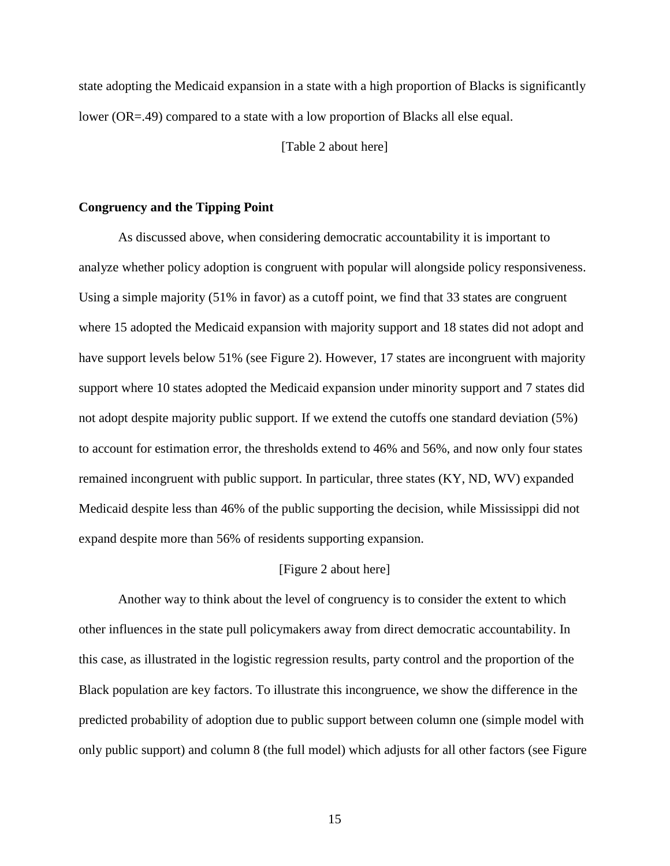state adopting the Medicaid expansion in a state with a high proportion of Blacks is significantly lower (OR=.49) compared to a state with a low proportion of Blacks all else equal.

[Table 2 about here]

## **Congruency and the Tipping Point**

As discussed above, when considering democratic accountability it is important to analyze whether policy adoption is congruent with popular will alongside policy responsiveness. Using a simple majority (51% in favor) as a cutoff point, we find that 33 states are congruent where 15 adopted the Medicaid expansion with majority support and 18 states did not adopt and have support levels below 51% (see Figure 2). However, 17 states are incongruent with majority support where 10 states adopted the Medicaid expansion under minority support and 7 states did not adopt despite majority public support. If we extend the cutoffs one standard deviation (5%) to account for estimation error, the thresholds extend to 46% and 56%, and now only four states remained incongruent with public support. In particular, three states (KY, ND, WV) expanded Medicaid despite less than 46% of the public supporting the decision, while Mississippi did not expand despite more than 56% of residents supporting expansion.

#### [Figure 2 about here]

Another way to think about the level of congruency is to consider the extent to which other influences in the state pull policymakers away from direct democratic accountability. In this case, as illustrated in the logistic regression results, party control and the proportion of the Black population are key factors. To illustrate this incongruence, we show the difference in the predicted probability of adoption due to public support between column one (simple model with only public support) and column 8 (the full model) which adjusts for all other factors (see Figure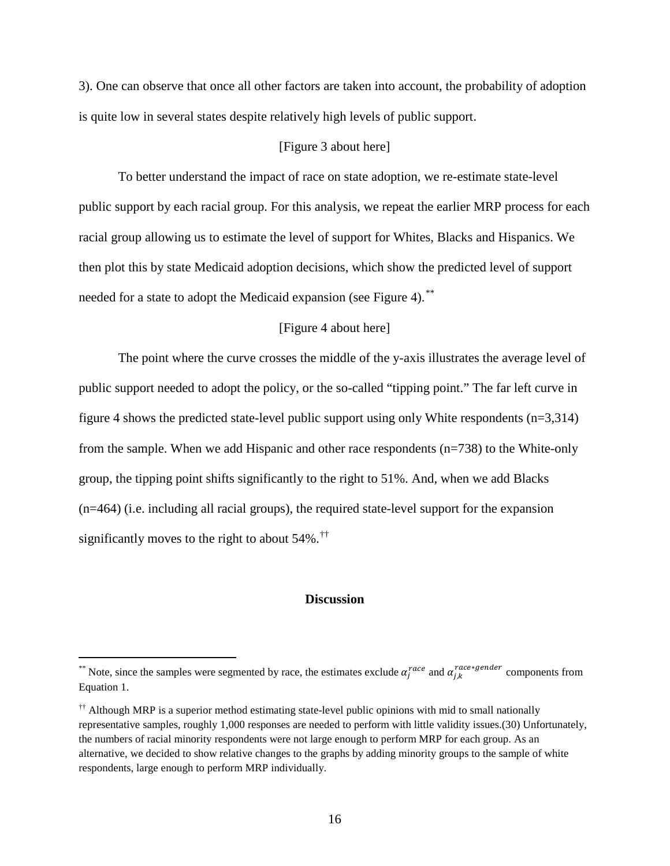3). One can observe that once all other factors are taken into account, the probability of adoption is quite low in several states despite relatively high levels of public support.

## [Figure 3 about here]

To better understand the impact of race on state adoption, we re-estimate state-level public support by each racial group. For this analysis, we repeat the earlier MRP process for each racial group allowing us to estimate the level of support for Whites, Blacks and Hispanics. We then plot this by state Medicaid adoption decisions, which show the predicted level of support needed for a state to adopt the Medicaid expansion (see Figure 4).<sup>[\\*\\*](#page-16-0)</sup>

# [Figure 4 about here]

The point where the curve crosses the middle of the y-axis illustrates the average level of public support needed to adopt the policy, or the so-called "tipping point." The far left curve in figure 4 shows the predicted state-level public support using only White respondents (n=3,314) from the sample. When we add Hispanic and other race respondents (n=738) to the White-only group, the tipping point shifts significantly to the right to 51%. And, when we add Blacks (n=464) (i.e. including all racial groups), the required state-level support for the expansion significantly moves to the right to about 54%.[††](#page-16-1)

#### **Discussion**

<span id="page-16-0"></span><sup>\*\*</sup> Note, since the samples were segmented by race, the estimates exclude  $\alpha_j^{race}$  and  $\alpha_{j,k}^{race*gender}$  components from Equation 1.

<span id="page-16-1"></span><sup>††</sup> Although MRP is a superior method estimating state-level public opinions with mid to small nationally representative samples, roughly 1,000 responses are needed to perform with little validity issues.(30) Unfortunately, the numbers of racial minority respondents were not large enough to perform MRP for each group. As an alternative, we decided to show relative changes to the graphs by adding minority groups to the sample of white respondents, large enough to perform MRP individually.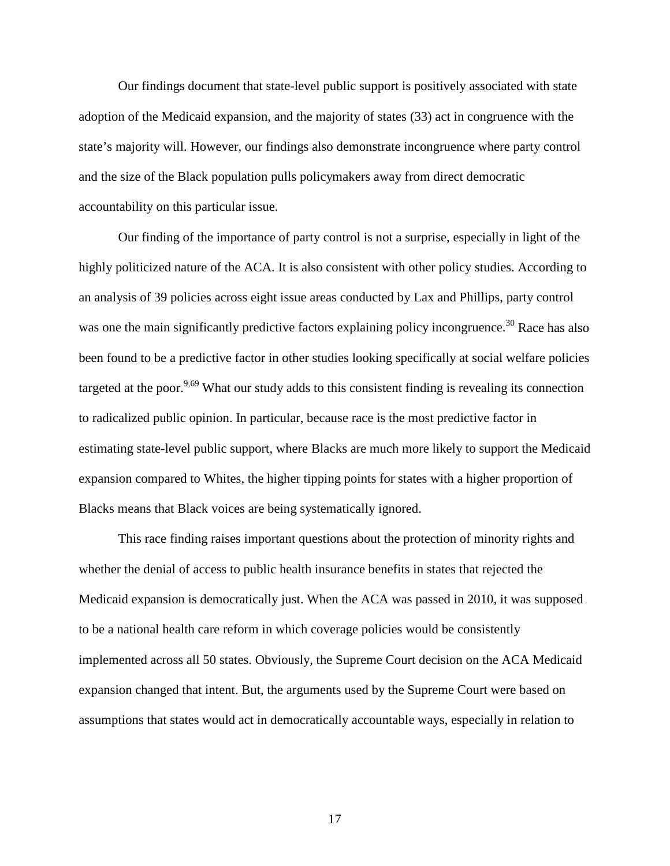Our findings document that state-level public support is positively associated with state adoption of the Medicaid expansion, and the majority of states (33) act in congruence with the state's majority will. However, our findings also demonstrate incongruence where party control and the size of the Black population pulls policymakers away from direct democratic accountability on this particular issue.

Our finding of the importance of party control is not a surprise, especially in light of the highly politicized nature of the ACA. It is also consistent with other policy studies. According to an analysis of 39 policies across eight issue areas conducted by Lax and Phillips, party control was one the main significantly predictive factors explaining policy incongruence.<sup>30</sup> Race has also been found to be a predictive factor in other studies looking specifically at social welfare policies targeted at the poor.<sup>9,69</sup> What our study adds to this consistent finding is revealing its connection to radicalized public opinion. In particular, because race is the most predictive factor in estimating state-level public support, where Blacks are much more likely to support the Medicaid expansion compared to Whites, the higher tipping points for states with a higher proportion of Blacks means that Black voices are being systematically ignored.

This race finding raises important questions about the protection of minority rights and whether the denial of access to public health insurance benefits in states that rejected the Medicaid expansion is democratically just. When the ACA was passed in 2010, it was supposed to be a national health care reform in which coverage policies would be consistently implemented across all 50 states. Obviously, the Supreme Court decision on the ACA Medicaid expansion changed that intent. But, the arguments used by the Supreme Court were based on assumptions that states would act in democratically accountable ways, especially in relation to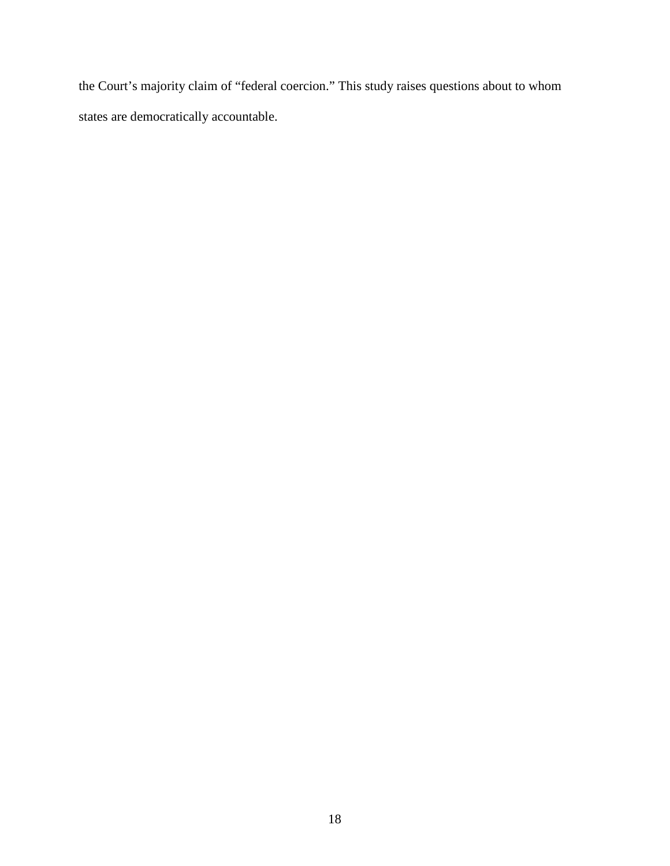the Court's majority claim of "federal coercion." This study raises questions about to whom states are democratically accountable.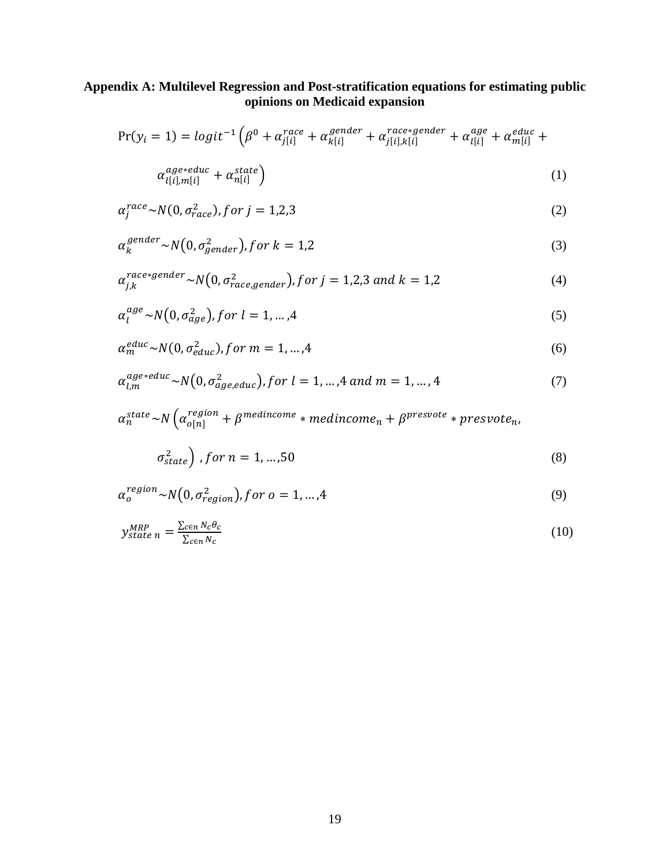# **Appendix A: Multilevel Regression and Post-stratification equations for estimating public opinions on Medicaid expansion**

$$
Pr(y_i = 1) = logit^{-1} \left( \beta^0 + \alpha_{j[i]}^{race} + \alpha_{k[i]}^{gender} + \alpha_{j[i],k[i]}^{race * gender} + \alpha_{l[i]}^{age} + \alpha_{m[i]}^{educ} + \alpha_{l[i]}^{educ} + \alpha_{l[i]}^{educ} + \alpha_{l[i]}^{educ} + \alpha_{l[i]}^{educ} + \alpha_{l[i]}^{educ} + \alpha_{l[i]}^{educ} + \alpha_{l[i]}^{educ} + \alpha_{l[i]}^{educ} + \alpha_{l[i]}^{educ} + \alpha_{l[i]}^{educ} + \alpha_{l[i]}^{educ} + \alpha_{l[i]}^{educ} + \alpha_{l[i]}^{educ} + \alpha_{l[i]}^{educ} + \alpha_{l[i]}^{educ} + \alpha_{l[i]}^{educ} + \alpha_{l[i]}^{educ} + \alpha_{l[i]}^{educ} + \alpha_{l[i]}^{educ} + \alpha_{l[i]}^{educ} + \alpha_{l[i]}^{educ} + \alpha_{l[i]}^{educ} + \alpha_{l[i]}^{educ} + \alpha_{l[i]}^{educ} + \alpha_{l[i]}^{educ} + \alpha_{l[i]}^{educ} + \alpha_{l[i]}^{educ} + \alpha_{l[i]}^{educ} + \alpha_{l[i]}^{educ} + \alpha_{l[i]}^{educ} + \alpha_{l[i]}^{educ} + \alpha_{l[i]}^{educ} + \alpha_{l[i]}^{educ} + \alpha_{l[i]}^{educ} + \alpha_{l[i]}^{educ} + \alpha_{l[i]}^{educ} + \alpha_{l[i]}^{educ} + \alpha_{l[i]}^{educ} + \alpha_{l[i]}^{educ} + \alpha_{l[i]}^{educ} + \alpha_{l[i]}^{educ} + \alpha_{l[i]}^{educ} + \alpha_{l[i]}^{educ} + \alpha_{l[i]}^{educ} + \alpha_{l[i]}^{educ} + \alpha_{l[i]}^{educ} + \alpha_{l[i]}^{educ} + \alpha_{l[i]}^{educ} + \alpha_{l[i]}^{educ} + \alpha_{l[i]}^{educ} + \alpha_{l[i]}^{educ} + \alpha_{l[i]}^{educ} + \alpha_{l[i]}^{educ} + \alpha_{l[i]}^{educ} + \alpha_{l[i]}^{educ} + \alpha_{l[i]}^{educ} + \alpha_{l[i]}^{educ} + \alpha_{l[i]}^{educ} + \alpha_{l[i]}^{educ} + \alpha_{l[i]}^{educ} + \alpha_{l[i]}^{educ} + \alpha_{l[i]}^{educ} +
$$

$$
\alpha_{l[i],m[i]}^{age*educ} + \alpha_{n[i]}^{state} \tag{1}
$$

$$
\alpha_j^{race} \sim N(0, \sigma_{race}^2), \text{for } j = 1, 2, 3
$$
\n<sup>(2)</sup>

$$
\alpha_k^{gender} \sim N\big(0, \sigma_{gender}^2\big), \text{for } k = 1, 2 \tag{3}
$$

$$
\alpha_{j,k}^{race*gender} \sim N\big(0, \sigma_{race, gender}^2\big), for \ j = 1, 2, 3 \ and \ k = 1, 2 \tag{4}
$$

$$
\alpha_l^{age} \sim N\big(0, \sigma_{age}^2\big), \text{for } l = 1, \dots, 4 \tag{5}
$$

$$
\alpha_m^{educ} \sim N(0, \sigma_{educ}^2), \text{for } m = 1, \dots, 4
$$
\n<sup>(6)</sup>

$$
\alpha_{l,m}^{age*educ} \sim N(0, \sigma_{age,educ}^2), \text{for } l = 1, ..., 4 \text{ and } m = 1, ..., 4 \tag{7}
$$

$$
\alpha_n^{state} \sim N \left( \alpha_{o[n]}^{region} + \beta^{mediumcome} * mediumem + \beta^{presvote} * pressure_{n} \right)
$$

$$
\sigma_{state}^2
$$
, for  $n = 1, ..., 50$  (8)

$$
\alpha_o^{region} \sim N(0, \sigma_{region}^2), for \ o = 1, ..., 4
$$
\n(9)

$$
y_{state\ n}^{MRP} = \frac{\sum_{c \in n} N_c \theta_c}{\sum_{c \in n} N_c}
$$
 (10)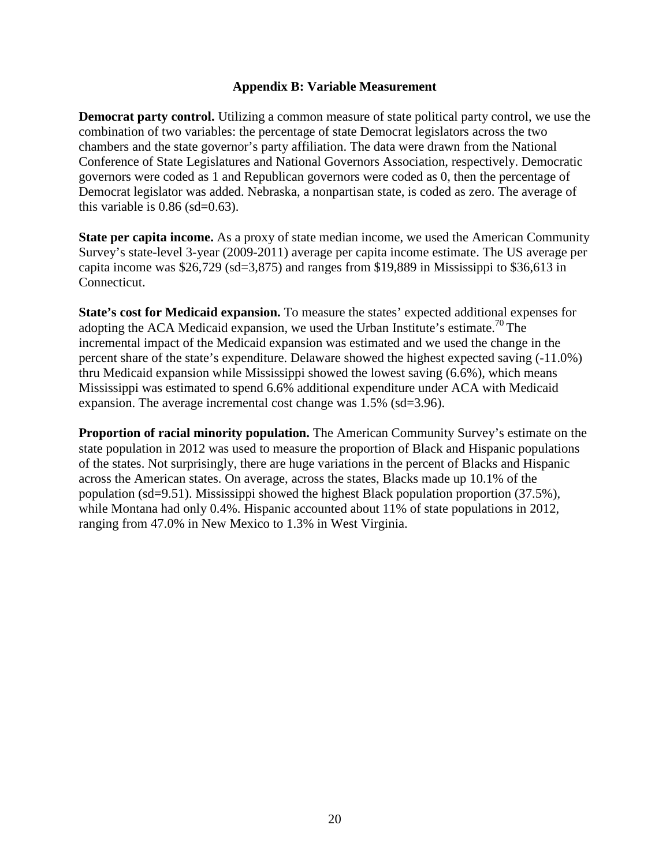# **Appendix B: Variable Measurement**

**Democrat party control.** Utilizing a common measure of state political party control, we use the combination of two variables: the percentage of state Democrat legislators across the two chambers and the state governor's party affiliation. The data were drawn from the National Conference of State Legislatures and National Governors Association, respectively. Democratic governors were coded as 1 and Republican governors were coded as 0, then the percentage of Democrat legislator was added. Nebraska, a nonpartisan state, is coded as zero. The average of this variable is  $0.86$  (sd= $0.63$ ).

**State per capita income.** As a proxy of state median income, we used the American Community Survey's state-level 3-year (2009-2011) average per capita income estimate. The US average per capita income was \$26,729 (sd=3,875) and ranges from \$19,889 in Mississippi to \$36,613 in Connecticut.

**State's cost for Medicaid expansion.** To measure the states' expected additional expenses for adopting the ACA Medicaid expansion, we used the Urban Institute's estimate.<sup>70</sup> The incremental impact of the Medicaid expansion was estimated and we used the change in the percent share of the state's expenditure. Delaware showed the highest expected saving (-11.0%) thru Medicaid expansion while Mississippi showed the lowest saving (6.6%), which means Mississippi was estimated to spend 6.6% additional expenditure under ACA with Medicaid expansion. The average incremental cost change was 1.5% (sd=3.96).

**Proportion of racial minority population.** The American Community Survey's estimate on the state population in 2012 was used to measure the proportion of Black and Hispanic populations of the states. Not surprisingly, there are huge variations in the percent of Blacks and Hispanic across the American states. On average, across the states, Blacks made up 10.1% of the population (sd=9.51). Mississippi showed the highest Black population proportion (37.5%), while Montana had only 0.4%. Hispanic accounted about 11% of state populations in 2012, ranging from 47.0% in New Mexico to 1.3% in West Virginia.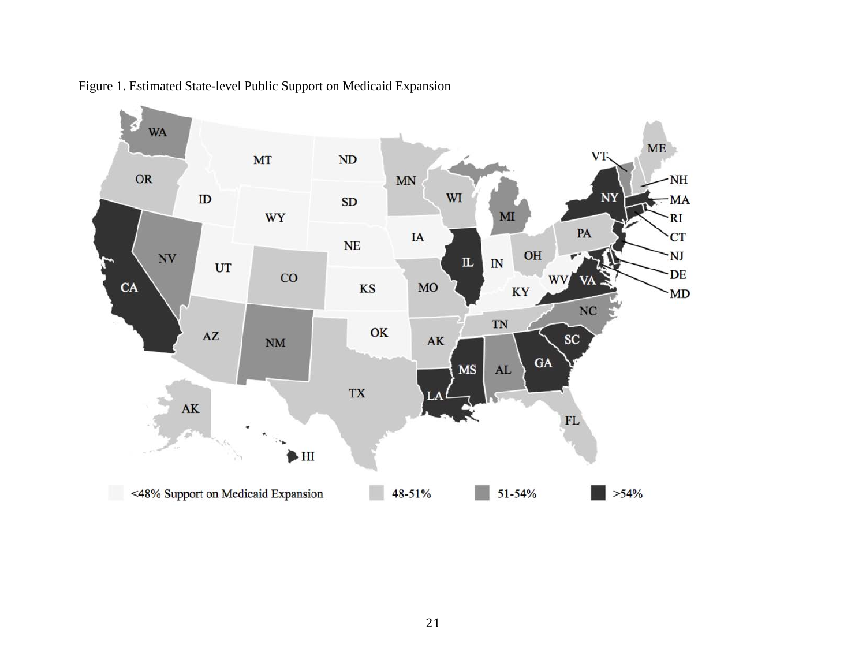

Figure 1. Estimated State-level Public Support on Medicaid Expansion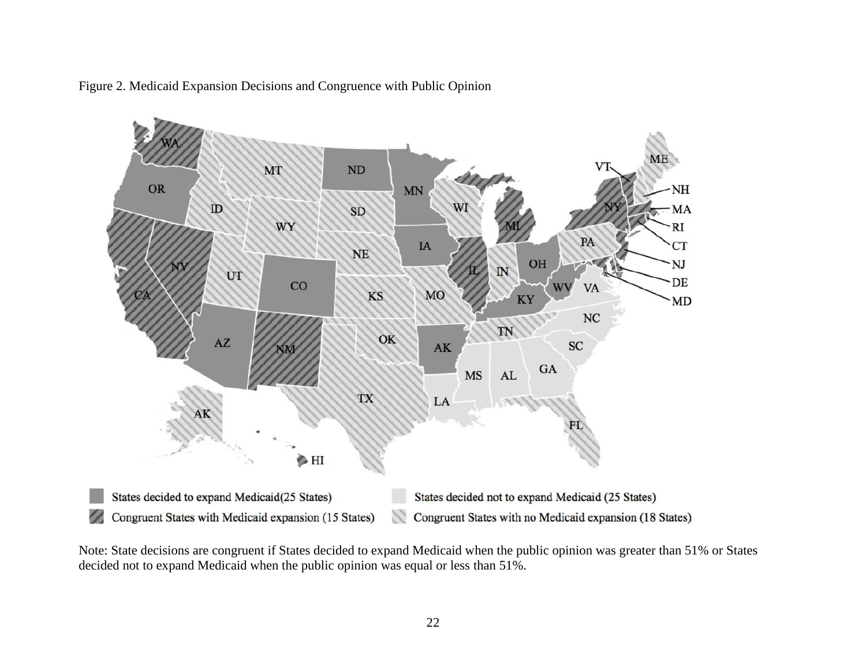

Figure 2. Medicaid Expansion Decisions and Congruence with Public Opinion

Note: State decisions are congruent if States decided to expand Medicaid when the public opinion was greater than 51% or States decided not to expand Medicaid when the public opinion was equal or less than 51%.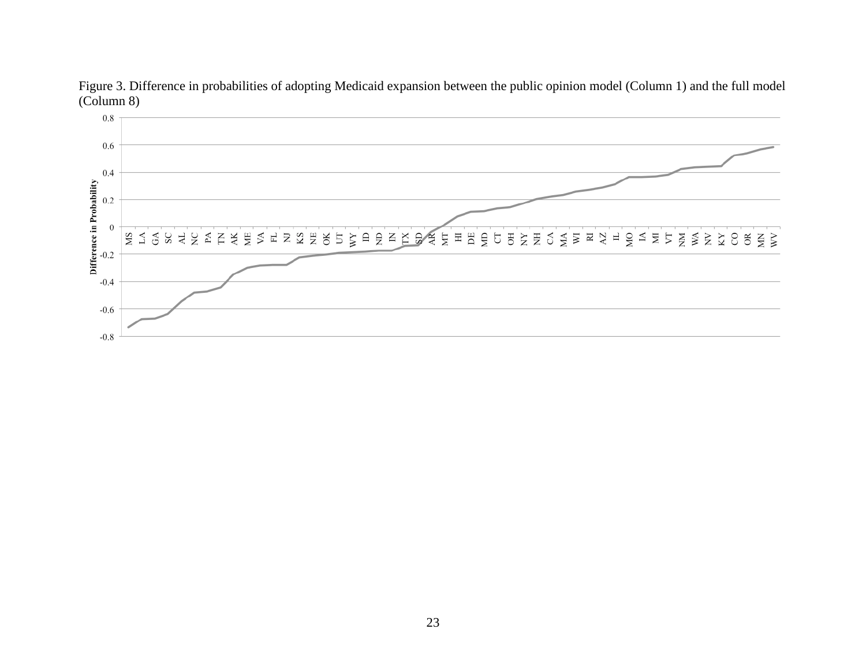

Figure 3. Difference in probabilities of adopting Medicaid expansion between the public opinion model (Column 1) and the full model (Column 8)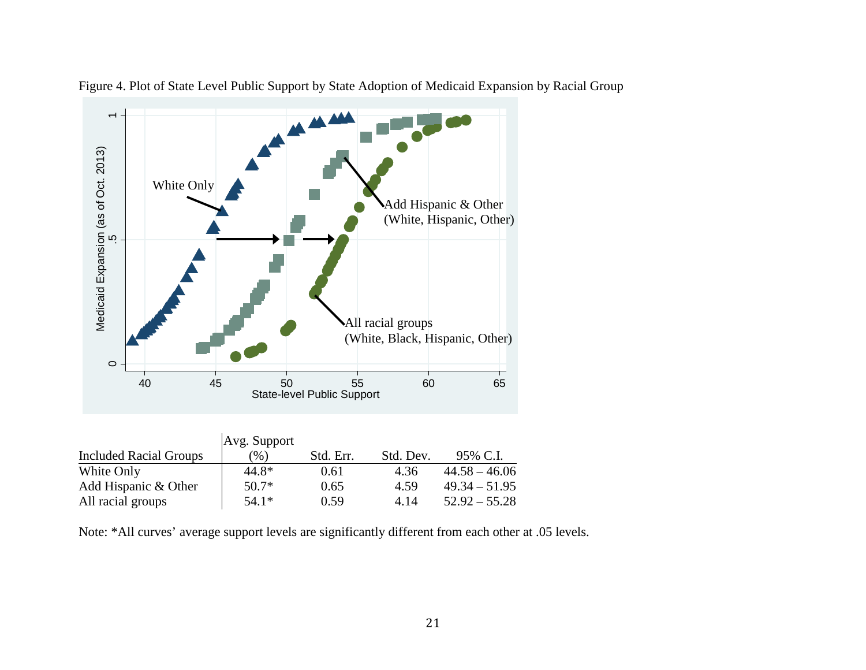

Figure 4. Plot of State Level Public Support by State Adoption of Medicaid Expansion by Racial Group

|                               | Avg. Support |           |           |                 |
|-------------------------------|--------------|-----------|-----------|-----------------|
| <b>Included Racial Groups</b> | (96)         | Std. Err. | Std. Dev. | 95% C.I.        |
| White Only                    | 44.8*        | 0.61      | 4.36      | $44.58 - 46.06$ |
| Add Hispanic & Other          | $50.7*$      | 0.65      | 4.59      | $49.34 - 51.95$ |
| All racial groups             | $54.1*$      | 0.59      | 4.14      | $52.92 - 55.28$ |

Note: \*All curves' average support levels are significantly different from each other at .05 levels.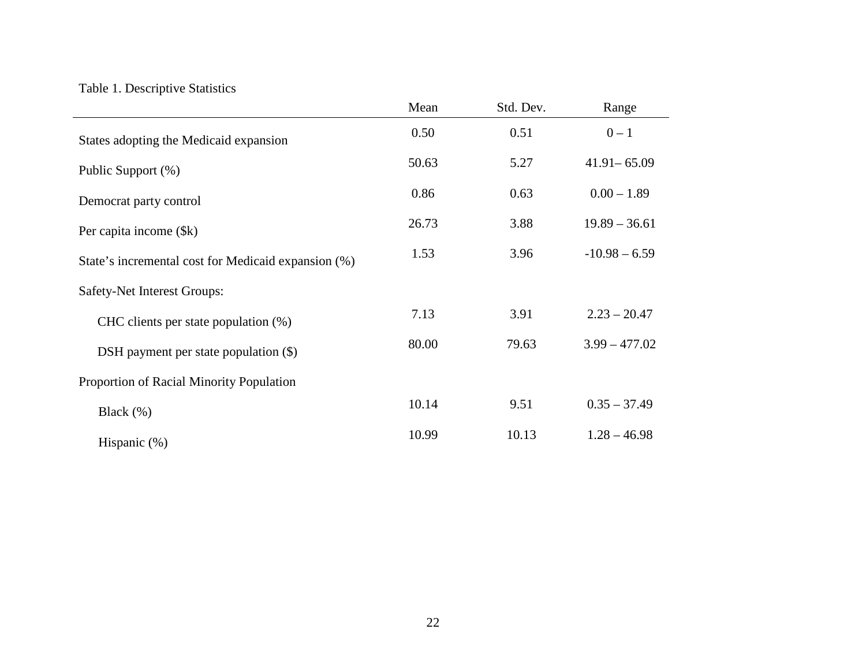# Table 1. Descriptive Statistics

|                                                     | Mean  | Std. Dev. | Range           |  |
|-----------------------------------------------------|-------|-----------|-----------------|--|
| States adopting the Medicaid expansion              | 0.50  | 0.51      | $0 - 1$         |  |
| Public Support (%)                                  | 50.63 | 5.27      | $41.91 - 65.09$ |  |
| Democrat party control                              | 0.86  | 0.63      | $0.00 - 1.89$   |  |
| Per capita income (\\$).                            | 26.73 | 3.88      | $19.89 - 36.61$ |  |
| State's incremental cost for Medicaid expansion (%) | 1.53  | 3.96      | $-10.98 - 6.59$ |  |
| Safety-Net Interest Groups:                         |       |           |                 |  |
| CHC clients per state population $(\%)$             | 7.13  | 3.91      | $2.23 - 20.47$  |  |
| DSH payment per state population $(\$)$             | 80.00 | 79.63     | $3.99 - 477.02$ |  |
| Proportion of Racial Minority Population            |       |           |                 |  |
| Black $(\% )$                                       | 10.14 | 9.51      | $0.35 - 37.49$  |  |
| Hispanic (%)                                        | 10.99 | 10.13     | $1.28 - 46.98$  |  |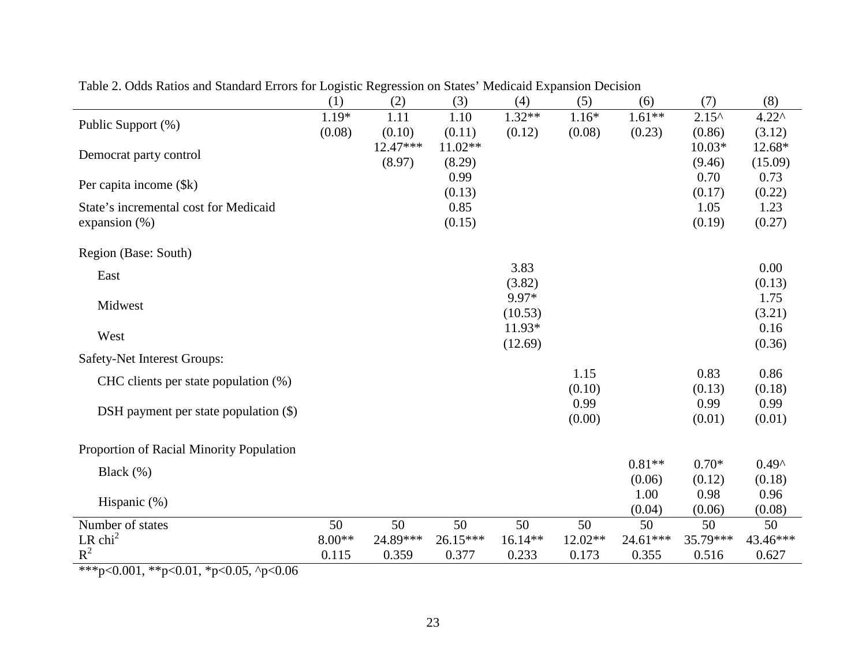|                                          | (1)      | (2)        | (3)       | (4)       | (5)     | (6)      | (7)            | (8)            |
|------------------------------------------|----------|------------|-----------|-----------|---------|----------|----------------|----------------|
| Public Support (%)                       | 1.19*    | 1.11       | 1.10      | $1.32**$  | $1.16*$ | $1.61**$ | $2.15^{\circ}$ | $4.22^{\circ}$ |
|                                          | (0.08)   | (0.10)     | (0.11)    | (0.12)    | (0.08)  | (0.23)   | (0.86)         | (3.12)         |
| Democrat party control                   |          | $12.47***$ | $11.02**$ |           |         |          | $10.03*$       | 12.68*         |
|                                          |          | (8.97)     | (8.29)    |           |         |          | (9.46)         | (15.09)        |
| Per capita income (\$k)                  |          |            | 0.99      |           |         |          | 0.70           | 0.73           |
|                                          |          |            | (0.13)    |           |         |          | (0.17)         | (0.22)         |
| State's incremental cost for Medicaid    |          |            | 0.85      |           |         |          | 1.05           | 1.23           |
| expansion $(\%)$                         |          |            | (0.15)    |           |         |          | (0.19)         | (0.27)         |
| Region (Base: South)                     |          |            |           |           |         |          |                |                |
| East                                     |          |            |           | 3.83      |         |          |                | 0.00           |
|                                          |          |            |           | (3.82)    |         |          |                | (0.13)         |
| Midwest                                  |          |            |           | 9.97*     |         |          |                | 1.75           |
|                                          |          |            |           | (10.53)   |         |          |                | (3.21)         |
| West                                     |          |            |           | 11.93*    |         |          |                | 0.16           |
|                                          |          |            |           | (12.69)   |         |          |                | (0.36)         |
| Safety-Net Interest Groups:              |          |            |           |           |         |          |                |                |
| CHC clients per state population (%)     |          |            |           |           | 1.15    |          | 0.83           | 0.86           |
|                                          |          |            |           |           | (0.10)  |          | (0.13)         | (0.18)         |
| DSH payment per state population $(\$)$  |          |            |           |           | 0.99    |          | 0.99           | 0.99           |
|                                          |          |            |           |           | (0.00)  |          | (0.01)         | (0.01)         |
| Proportion of Racial Minority Population |          |            |           |           |         |          |                |                |
|                                          |          |            |           |           |         | $0.81**$ | $0.70*$        | $0.49^$        |
| Black $(\%)$                             |          |            |           |           |         | (0.06)   | (0.12)         | (0.18)         |
|                                          |          |            |           |           |         | 1.00     | 0.98           | 0.96           |
| Hispanic (%)                             |          |            |           |           |         | (0.04)   | (0.06)         | (0.08)         |
| Number of states                         | 50       | 50         | 50        | 50        | 50      | 50       | 50             | 50             |
| LR $chi2$                                | $8.00**$ | 24.89***   | 26.15***  | $16.14**$ | 12.02** | 24.61*** | 35.79***       | 43.46***       |
| $R^2$                                    | 0.115    | 0.359      | 0.377     | 0.233     | 0.173   | 0.355    | 0.516          | 0.627          |

Table 2. Odds Ratios and Standard Errors for Logistic Regression on States' Medicaid Expansion Decision

\*\*\*p<0.001, \*\*p<0.01, \*p<0.05, ^p<0.06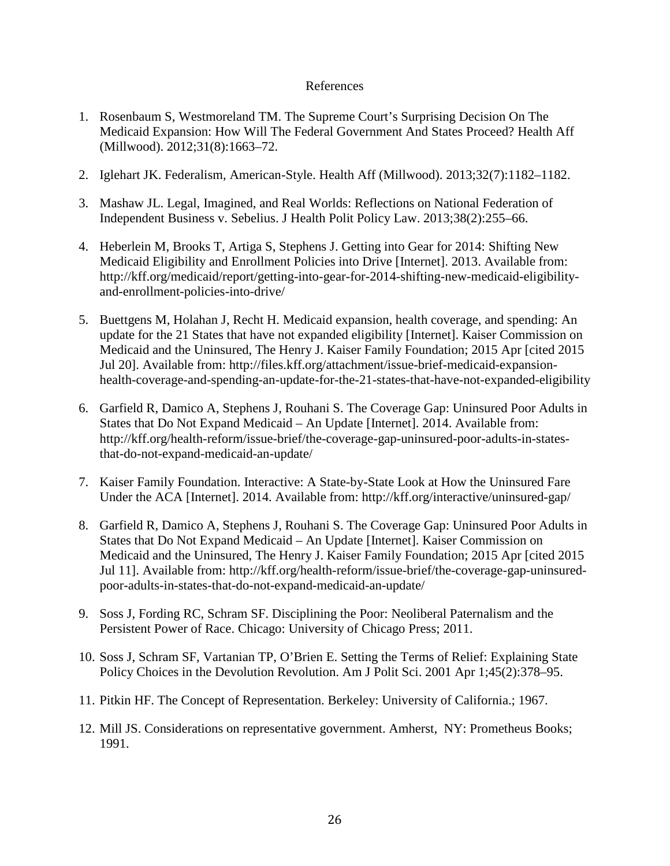## References

- 1. Rosenbaum S, Westmoreland TM. The Supreme Court's Surprising Decision On The Medicaid Expansion: How Will The Federal Government And States Proceed? Health Aff (Millwood). 2012;31(8):1663–72.
- 2. Iglehart JK. Federalism, American-Style. Health Aff (Millwood). 2013;32(7):1182–1182.
- 3. Mashaw JL. Legal, Imagined, and Real Worlds: Reflections on National Federation of Independent Business v. Sebelius. J Health Polit Policy Law. 2013;38(2):255–66.
- 4. Heberlein M, Brooks T, Artiga S, Stephens J. Getting into Gear for 2014: Shifting New Medicaid Eligibility and Enrollment Policies into Drive [Internet]. 2013. Available from: http://kff.org/medicaid/report/getting-into-gear-for-2014-shifting-new-medicaid-eligibilityand-enrollment-policies-into-drive/
- 5. Buettgens M, Holahan J, Recht H. Medicaid expansion, health coverage, and spending: An update for the 21 States that have not expanded eligibility [Internet]. Kaiser Commission on Medicaid and the Uninsured, The Henry J. Kaiser Family Foundation; 2015 Apr [cited 2015 Jul 20]. Available from: http://files.kff.org/attachment/issue-brief-medicaid-expansionhealth-coverage-and-spending-an-update-for-the-21-states-that-have-not-expanded-eligibility
- 6. Garfield R, Damico A, Stephens J, Rouhani S. The Coverage Gap: Uninsured Poor Adults in States that Do Not Expand Medicaid – An Update [Internet]. 2014. Available from: http://kff.org/health-reform/issue-brief/the-coverage-gap-uninsured-poor-adults-in-statesthat-do-not-expand-medicaid-an-update/
- 7. Kaiser Family Foundation. Interactive: A State-by-State Look at How the Uninsured Fare Under the ACA [Internet]. 2014. Available from: http://kff.org/interactive/uninsured-gap/
- 8. Garfield R, Damico A, Stephens J, Rouhani S. The Coverage Gap: Uninsured Poor Adults in States that Do Not Expand Medicaid – An Update [Internet]. Kaiser Commission on Medicaid and the Uninsured, The Henry J. Kaiser Family Foundation; 2015 Apr [cited 2015 Jul 11]. Available from: http://kff.org/health-reform/issue-brief/the-coverage-gap-uninsuredpoor-adults-in-states-that-do-not-expand-medicaid-an-update/
- 9. Soss J, Fording RC, Schram SF. Disciplining the Poor: Neoliberal Paternalism and the Persistent Power of Race. Chicago: University of Chicago Press; 2011.
- 10. Soss J, Schram SF, Vartanian TP, O'Brien E. Setting the Terms of Relief: Explaining State Policy Choices in the Devolution Revolution. Am J Polit Sci. 2001 Apr 1;45(2):378–95.
- 11. Pitkin HF. The Concept of Representation. Berkeley: University of California.; 1967.
- 12. Mill JS. Considerations on representative government. Amherst, NY: Prometheus Books; 1991.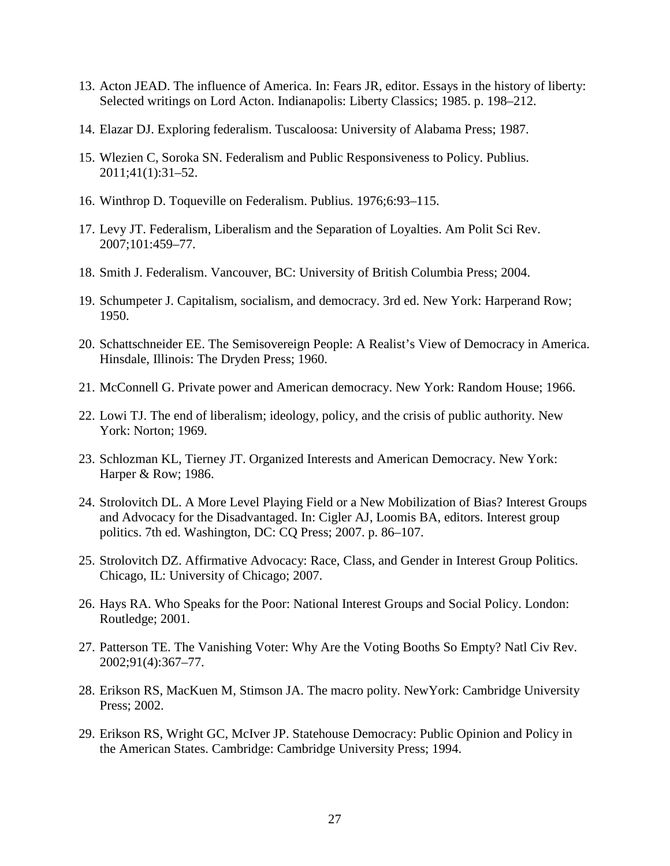- 13. Acton JEAD. The influence of America. In: Fears JR, editor. Essays in the history of liberty: Selected writings on Lord Acton. Indianapolis: Liberty Classics; 1985. p. 198–212.
- 14. Elazar DJ. Exploring federalism. Tuscaloosa: University of Alabama Press; 1987.
- 15. Wlezien C, Soroka SN. Federalism and Public Responsiveness to Policy. Publius. 2011;41(1):31–52.
- 16. Winthrop D. Toqueville on Federalism. Publius. 1976;6:93–115.
- 17. Levy JT. Federalism, Liberalism and the Separation of Loyalties. Am Polit Sci Rev. 2007;101:459–77.
- 18. Smith J. Federalism. Vancouver, BC: University of British Columbia Press; 2004.
- 19. Schumpeter J. Capitalism, socialism, and democracy. 3rd ed. New York: Harperand Row; 1950.
- 20. Schattschneider EE. The Semisovereign People: A Realist's View of Democracy in America. Hinsdale, Illinois: The Dryden Press; 1960.
- 21. McConnell G. Private power and American democracy. New York: Random House; 1966.
- 22. Lowi TJ. The end of liberalism; ideology, policy, and the crisis of public authority. New York: Norton; 1969.
- 23. Schlozman KL, Tierney JT. Organized Interests and American Democracy. New York: Harper & Row; 1986.
- 24. Strolovitch DL. A More Level Playing Field or a New Mobilization of Bias? Interest Groups and Advocacy for the Disadvantaged. In: Cigler AJ, Loomis BA, editors. Interest group politics. 7th ed. Washington, DC: CQ Press; 2007. p. 86–107.
- 25. Strolovitch DZ. Affirmative Advocacy: Race, Class, and Gender in Interest Group Politics. Chicago, IL: University of Chicago; 2007.
- 26. Hays RA. Who Speaks for the Poor: National Interest Groups and Social Policy. London: Routledge; 2001.
- 27. Patterson TE. The Vanishing Voter: Why Are the Voting Booths So Empty? Natl Civ Rev. 2002;91(4):367–77.
- 28. Erikson RS, MacKuen M, Stimson JA. The macro polity. NewYork: Cambridge University Press; 2002.
- 29. Erikson RS, Wright GC, McIver JP. Statehouse Democracy: Public Opinion and Policy in the American States. Cambridge: Cambridge University Press; 1994.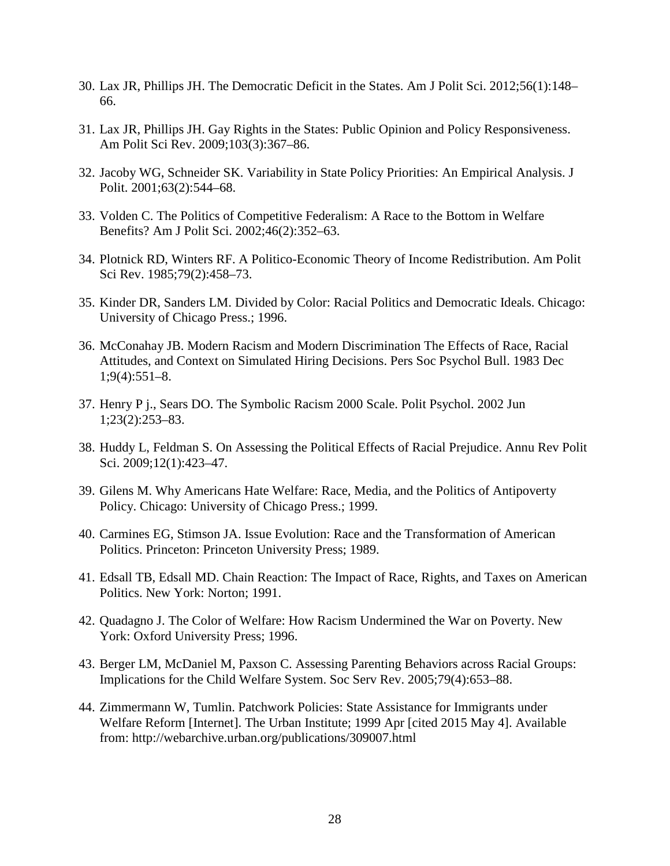- 30. Lax JR, Phillips JH. The Democratic Deficit in the States. Am J Polit Sci. 2012;56(1):148– 66.
- 31. Lax JR, Phillips JH. Gay Rights in the States: Public Opinion and Policy Responsiveness. Am Polit Sci Rev. 2009;103(3):367–86.
- 32. Jacoby WG, Schneider SK. Variability in State Policy Priorities: An Empirical Analysis. J Polit. 2001;63(2):544–68.
- 33. Volden C. The Politics of Competitive Federalism: A Race to the Bottom in Welfare Benefits? Am J Polit Sci. 2002;46(2):352–63.
- 34. Plotnick RD, Winters RF. A Politico-Economic Theory of Income Redistribution. Am Polit Sci Rev. 1985;79(2):458–73.
- 35. Kinder DR, Sanders LM. Divided by Color: Racial Politics and Democratic Ideals. Chicago: University of Chicago Press.; 1996.
- 36. McConahay JB. Modern Racism and Modern Discrimination The Effects of Race, Racial Attitudes, and Context on Simulated Hiring Decisions. Pers Soc Psychol Bull. 1983 Dec 1;9(4):551–8.
- 37. Henry P j., Sears DO. The Symbolic Racism 2000 Scale. Polit Psychol. 2002 Jun 1;23(2):253–83.
- 38. Huddy L, Feldman S. On Assessing the Political Effects of Racial Prejudice. Annu Rev Polit Sci. 2009;12(1):423–47.
- 39. Gilens M. Why Americans Hate Welfare: Race, Media, and the Politics of Antipoverty Policy. Chicago: University of Chicago Press.; 1999.
- 40. Carmines EG, Stimson JA. Issue Evolution: Race and the Transformation of American Politics. Princeton: Princeton University Press; 1989.
- 41. Edsall TB, Edsall MD. Chain Reaction: The Impact of Race, Rights, and Taxes on American Politics. New York: Norton; 1991.
- 42. Quadagno J. The Color of Welfare: How Racism Undermined the War on Poverty. New York: Oxford University Press; 1996.
- 43. Berger LM, McDaniel M, Paxson C. Assessing Parenting Behaviors across Racial Groups: Implications for the Child Welfare System. Soc Serv Rev. 2005;79(4):653–88.
- 44. Zimmermann W, Tumlin. Patchwork Policies: State Assistance for Immigrants under Welfare Reform [Internet]. The Urban Institute; 1999 Apr [cited 2015 May 4]. Available from: http://webarchive.urban.org/publications/309007.html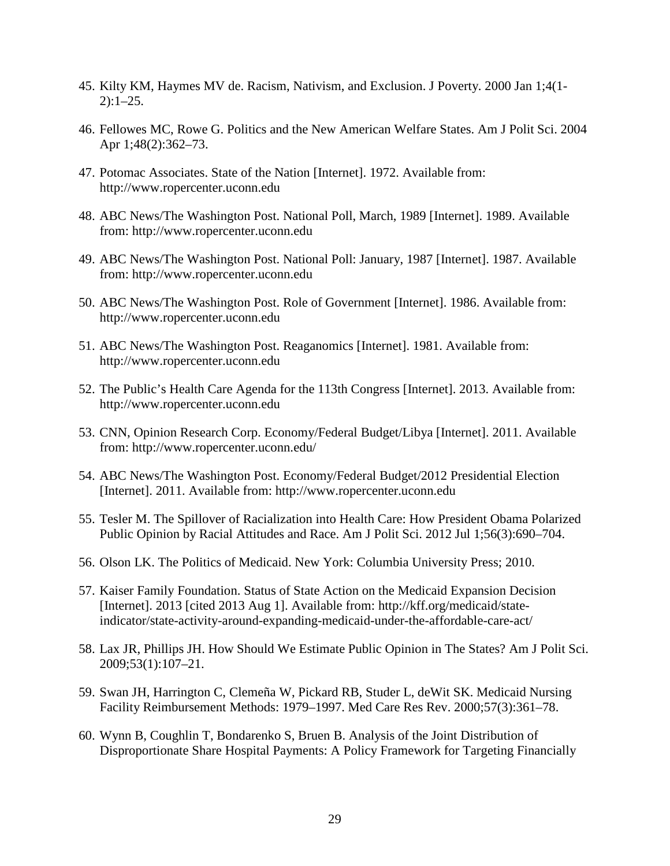- 45. Kilty KM, Haymes MV de. Racism, Nativism, and Exclusion. J Poverty. 2000 Jan 1;4(1-  $2)$ : 1–25.
- 46. Fellowes MC, Rowe G. Politics and the New American Welfare States. Am J Polit Sci. 2004 Apr 1;48(2):362–73.
- 47. Potomac Associates. State of the Nation [Internet]. 1972. Available from: http://www.ropercenter.uconn.edu
- 48. ABC News/The Washington Post. National Poll, March, 1989 [Internet]. 1989. Available from: http://www.ropercenter.uconn.edu
- 49. ABC News/The Washington Post. National Poll: January, 1987 [Internet]. 1987. Available from: http://www.ropercenter.uconn.edu
- 50. ABC News/The Washington Post. Role of Government [Internet]. 1986. Available from: http://www.ropercenter.uconn.edu
- 51. ABC News/The Washington Post. Reaganomics [Internet]. 1981. Available from: http://www.ropercenter.uconn.edu
- 52. The Public's Health Care Agenda for the 113th Congress [Internet]. 2013. Available from: http://www.ropercenter.uconn.edu
- 53. CNN, Opinion Research Corp. Economy/Federal Budget/Libya [Internet]. 2011. Available from: http://www.ropercenter.uconn.edu/
- 54. ABC News/The Washington Post. Economy/Federal Budget/2012 Presidential Election [Internet]. 2011. Available from: http://www.ropercenter.uconn.edu
- 55. Tesler M. The Spillover of Racialization into Health Care: How President Obama Polarized Public Opinion by Racial Attitudes and Race. Am J Polit Sci. 2012 Jul 1;56(3):690–704.
- 56. Olson LK. The Politics of Medicaid. New York: Columbia University Press; 2010.
- 57. Kaiser Family Foundation. Status of State Action on the Medicaid Expansion Decision [Internet]. 2013 [cited 2013 Aug 1]. Available from: http://kff.org/medicaid/stateindicator/state-activity-around-expanding-medicaid-under-the-affordable-care-act/
- 58. Lax JR, Phillips JH. How Should We Estimate Public Opinion in The States? Am J Polit Sci. 2009;53(1):107–21.
- 59. Swan JH, Harrington C, Clemeña W, Pickard RB, Studer L, deWit SK. Medicaid Nursing Facility Reimbursement Methods: 1979–1997. Med Care Res Rev. 2000;57(3):361–78.
- 60. Wynn B, Coughlin T, Bondarenko S, Bruen B. Analysis of the Joint Distribution of Disproportionate Share Hospital Payments: A Policy Framework for Targeting Financially